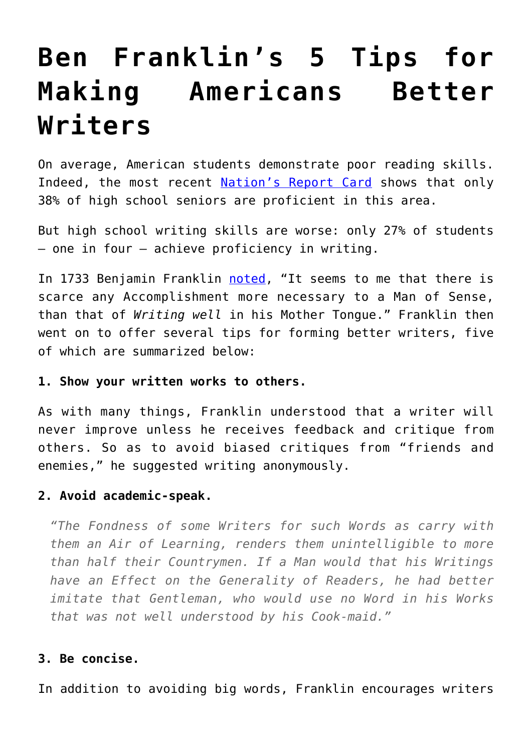# **[Ben Franklin's 5 Tips for](https://intellectualtakeout.org/2016/03/ben-franklins-5-tips-for-making-americans-better-writers/) [Making Americans Better](https://intellectualtakeout.org/2016/03/ben-franklins-5-tips-for-making-americans-better-writers/) [Writers](https://intellectualtakeout.org/2016/03/ben-franklins-5-tips-for-making-americans-better-writers/)**

On average, American students demonstrate poor reading skills. Indeed, the most recent [Nation's Report Card](http://www.nationsreportcard.gov/dashboards/report_card.aspx) shows that only 38% of high school seniors are proficient in this area.

But high school writing skills are worse: only 27% of students – one in four – achieve proficiency in writing.

In 1733 Benjamin Franklin [noted](http://franklinpapers.org/franklin//framedVolumes.jsp?vol=1&page=328b), "It seems to me that there is scarce any Accomplishment more necessary to a Man of Sense, than that of *Writing well* in his Mother Tongue." Franklin then went on to offer several tips for forming better writers, five of which are summarized below:

### **1. Show your written works to others.**

As with many things, Franklin understood that a writer will never improve unless he receives feedback and critique from others. So as to avoid biased critiques from "friends and enemies," he suggested writing anonymously.

# **2. Avoid academic-speak.**

*"The Fondness of some Writers for such Words as carry with them an Air of Learning, renders them unintelligible to more than half their Countrymen. If a Man would that his Writings have an Effect on the Generality of Readers, he had better imitate that Gentleman, who would use no Word in his Works that was not well understood by his Cook-maid."*

#### **3. Be concise.**

In addition to avoiding big words, Franklin encourages writers